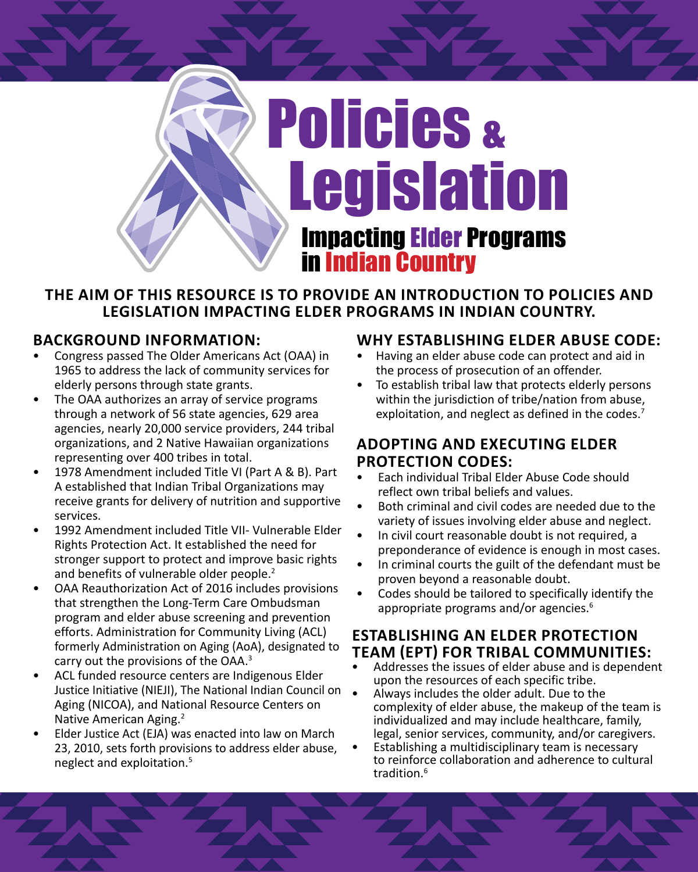

#### **THE AIM OF THIS RESOURCE IS TO PROVIDE AN INTRODUCTION TO POLICIES AND LEGISLATION IMPACTING ELDER PROGRAMS IN INDIAN COUNTRY.**

### **BACKGROUND INFORMATION:**

- Congress passed The Older Americans Act (OAA) in 1965 to address the lack of community services for elderly persons through state grants.
- The OAA authorizes an array of service programs through a network of 56 state agencies, 629 area agencies, nearly 20,000 service providers, 244 tribal organizations, and 2 Native Hawaiian organizations representing over 400 tribes in total.
- 1978 Amendment included Title VI (Part A & B). Part A established that Indian Tribal Organizations may receive grants for delivery of nutrition and supportive services.
- 1992 Amendment included Title VII- Vulnerable Elder Rights Protection Act. It established the need for stronger support to protect and improve basic rights and benefits of vulnerable older people.<sup>2</sup>
- OAA Reauthorization Act of 2016 includes provisions that strengthen the Long-Term Care Ombudsman program and elder abuse screening and prevention efforts. Administration for Community Living (ACL) formerly Administration on Aging (AoA), designated to carry out the provisions of the OAA.3
- ACL funded resource centers are Indigenous Elder Justice Initiative (NIEJI), The National Indian Council on Aging (NICOA), and National Resource Centers on Native American Aging.2
- Elder Justice Act (EJA) was enacted into law on March 23, 2010, sets forth provisions to address elder abuse, neglect and exploitation.<sup>5</sup>

#### **WHY ESTABLISHING ELDER ABUSE CODE:**

- Having an elder abuse code can protect and aid in the process of prosecution of an offender.
- To establish tribal law that protects elderly persons within the jurisdiction of tribe/nation from abuse, exploitation, and neglect as defined in the codes.<sup>7</sup>

#### **ADOPTING AND EXECUTING ELDER PROTECTION CODES:**

- Each individual Tribal Elder Abuse Code should reflect own tribal beliefs and values.
- Both criminal and civil codes are needed due to the variety of issues involving elder abuse and neglect.
- In civil court reasonable doubt is not required, a preponderance of evidence is enough in most cases.
- In criminal courts the guilt of the defendant must be proven beyond a reasonable doubt.
- Codes should be tailored to specifically identify the appropriate programs and/or agencies.<sup>6</sup>

#### **ESTABLISHING AN ELDER PROTECTION TEAM (EPT) FOR TRIBAL COMMUNITIES:**

- Addresses the issues of elder abuse and is dependent upon the resources of each specific tribe.
- Always includes the older adult. Due to the complexity of elder abuse, the makeup of the team is individualized and may include healthcare, family, legal, senior services, community, and/or caregivers.
- Establishing a multidisciplinary team is necessary to reinforce collaboration and adherence to cultural tradition.<sup>6</sup>